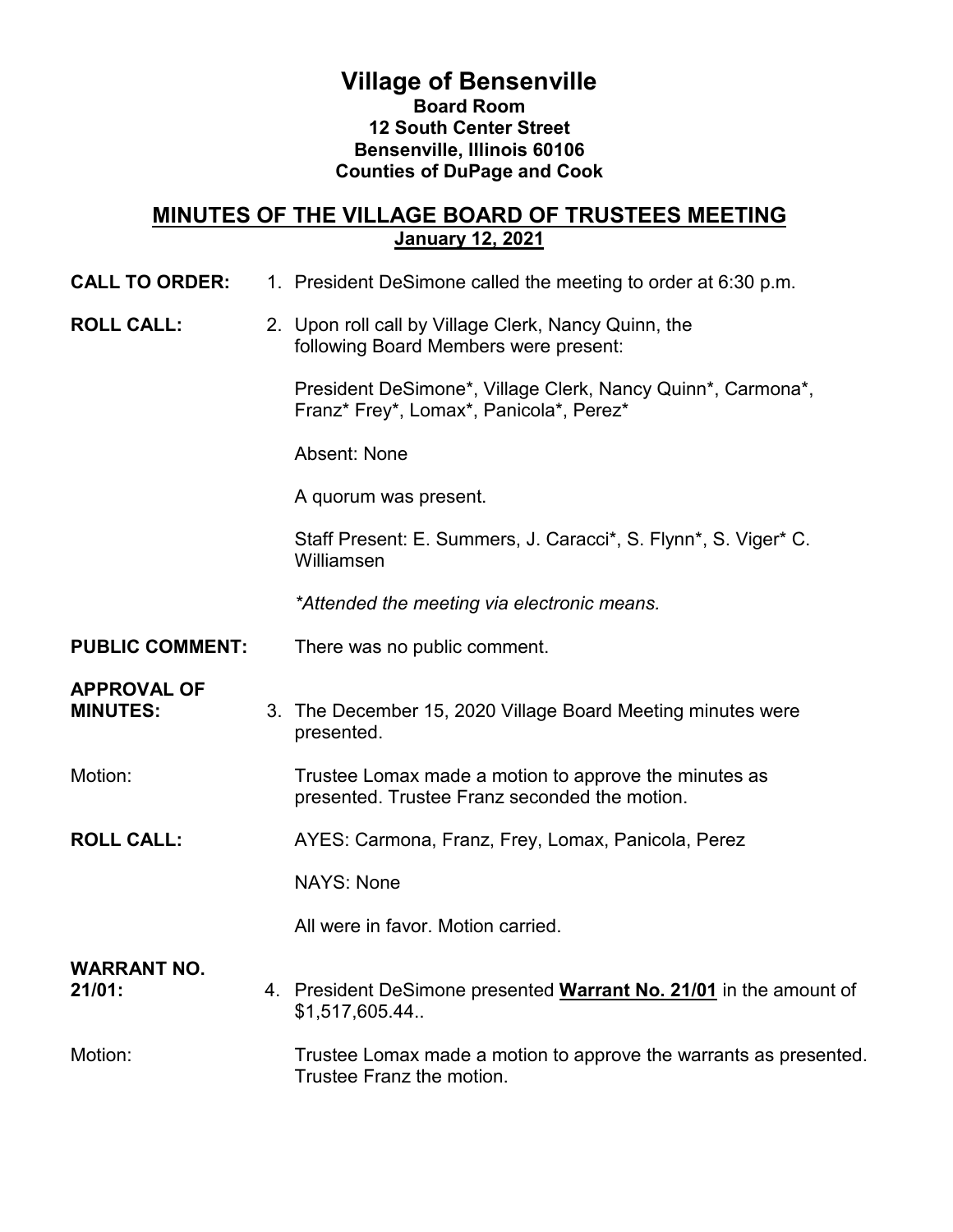## **Village of Bensenville Board Room 12 South Center Street Bensenville, Illinois 60106 Counties of DuPage and Cook**

### **MINUTES OF THE VILLAGE BOARD OF TRUSTEES MEETING January 12, 2021**

**CALL TO ORDER:** 1. President DeSimone called the meeting to order at 6:30 p.m.

#### **ROLL CALL:** 2. Upon roll call by Village Clerk, Nancy Quinn, the following Board Members were present:

President DeSimone\*, Village Clerk, Nancy Quinn\*, Carmona\*, Franz\* Frey\*, Lomax\*, Panicola\*, Perez\*

Absent: None

A quorum was present.

Staff Present: E. Summers, J. Caracci\*, S. Flynn\*, S. Viger\* C. Williamsen

*\*Attended the meeting via electronic means.*

**PUBLIC COMMENT:** There was no public comment.

# **APPROVAL OF**

- 3. The December 15, 2020 Village Board Meeting minutes were presented.
- Motion: Trustee Lomax made a motion to approve the minutes as presented. Trustee Franz seconded the motion.
- **ROLL CALL:** AYES: Carmona, Franz, Frey, Lomax, Panicola, Perez

NAYS: None

All were in favor. Motion carried.

## **WARRANT NO.**

**21/01:** 4. President DeSimone presented **Warrant No. 21/01** in the amount of \$1,517,605.44..

### Motion: Trustee Lomax made a motion to approve the warrants as presented. Trustee Franz the motion.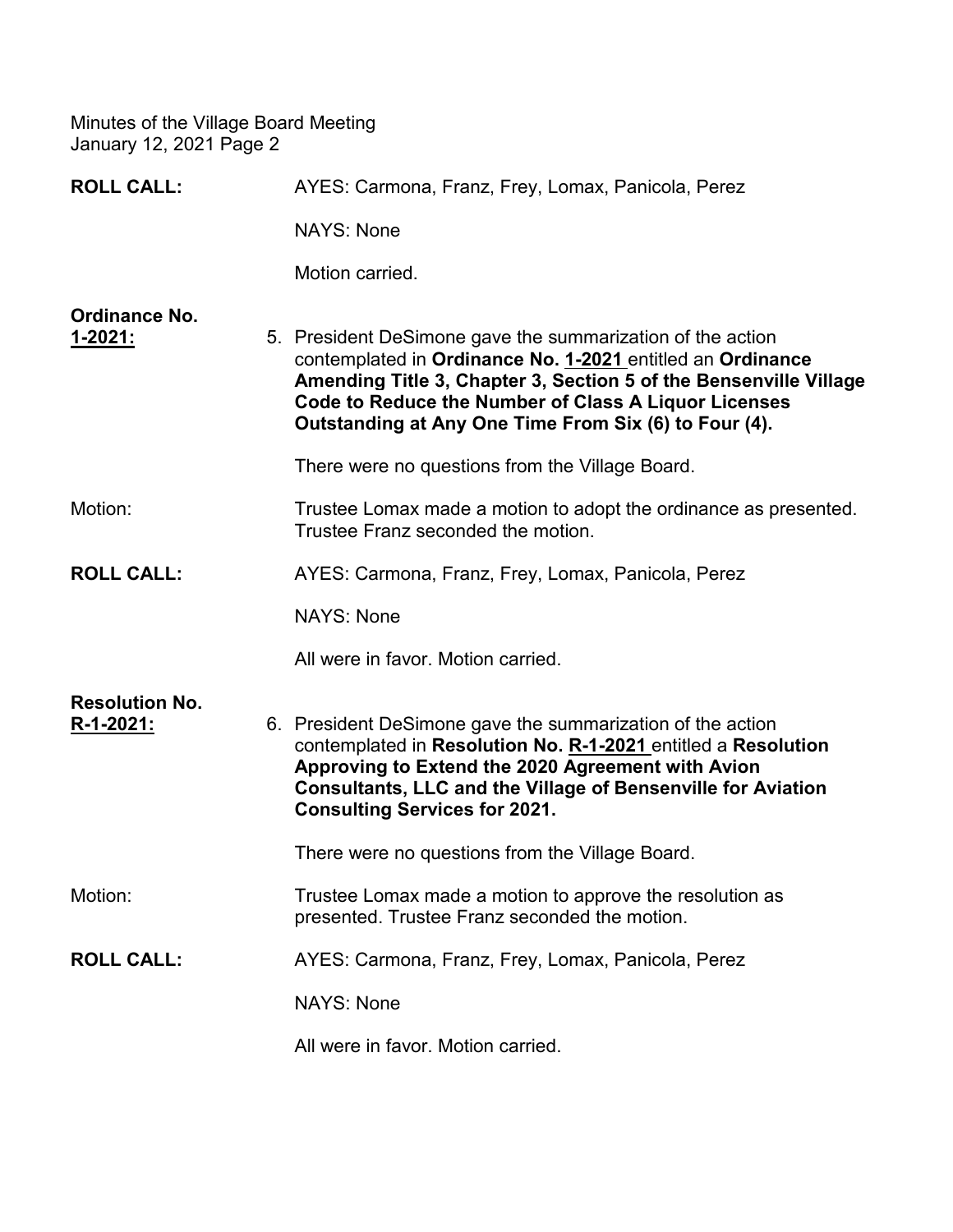| <b>ROLL CALL:</b>                  | AYES: Carmona, Franz, Frey, Lomax, Panicola, Perez                                                                                                                                                                                                                                                             |
|------------------------------------|----------------------------------------------------------------------------------------------------------------------------------------------------------------------------------------------------------------------------------------------------------------------------------------------------------------|
|                                    | <b>NAYS: None</b>                                                                                                                                                                                                                                                                                              |
|                                    | Motion carried.                                                                                                                                                                                                                                                                                                |
| Ordinance No.<br>$1 - 2021$ :      | 5. President DeSimone gave the summarization of the action<br>contemplated in Ordinance No. 1-2021 entitled an Ordinance<br>Amending Title 3, Chapter 3, Section 5 of the Bensenville Village<br>Code to Reduce the Number of Class A Liquor Licenses<br>Outstanding at Any One Time From Six (6) to Four (4). |
|                                    | There were no questions from the Village Board.                                                                                                                                                                                                                                                                |
| Motion:                            | Trustee Lomax made a motion to adopt the ordinance as presented.<br>Trustee Franz seconded the motion.                                                                                                                                                                                                         |
| <b>ROLL CALL:</b>                  | AYES: Carmona, Franz, Frey, Lomax, Panicola, Perez                                                                                                                                                                                                                                                             |
|                                    | <b>NAYS: None</b>                                                                                                                                                                                                                                                                                              |
|                                    | All were in favor. Motion carried.                                                                                                                                                                                                                                                                             |
| <b>Resolution No.</b><br>R-1-2021: | 6. President DeSimone gave the summarization of the action<br>contemplated in Resolution No. R-1-2021 entitled a Resolution<br>Approving to Extend the 2020 Agreement with Avion<br><b>Consultants, LLC and the Village of Bensenville for Aviation</b><br><b>Consulting Services for 2021.</b>                |
|                                    | There were no questions from the Village Board.                                                                                                                                                                                                                                                                |
| Motion:                            | Trustee Lomax made a motion to approve the resolution as<br>presented. Trustee Franz seconded the motion.                                                                                                                                                                                                      |
| <b>ROLL CALL:</b>                  | AYES: Carmona, Franz, Frey, Lomax, Panicola, Perez                                                                                                                                                                                                                                                             |
|                                    | <b>NAYS: None</b>                                                                                                                                                                                                                                                                                              |
|                                    | All were in favor. Motion carried.                                                                                                                                                                                                                                                                             |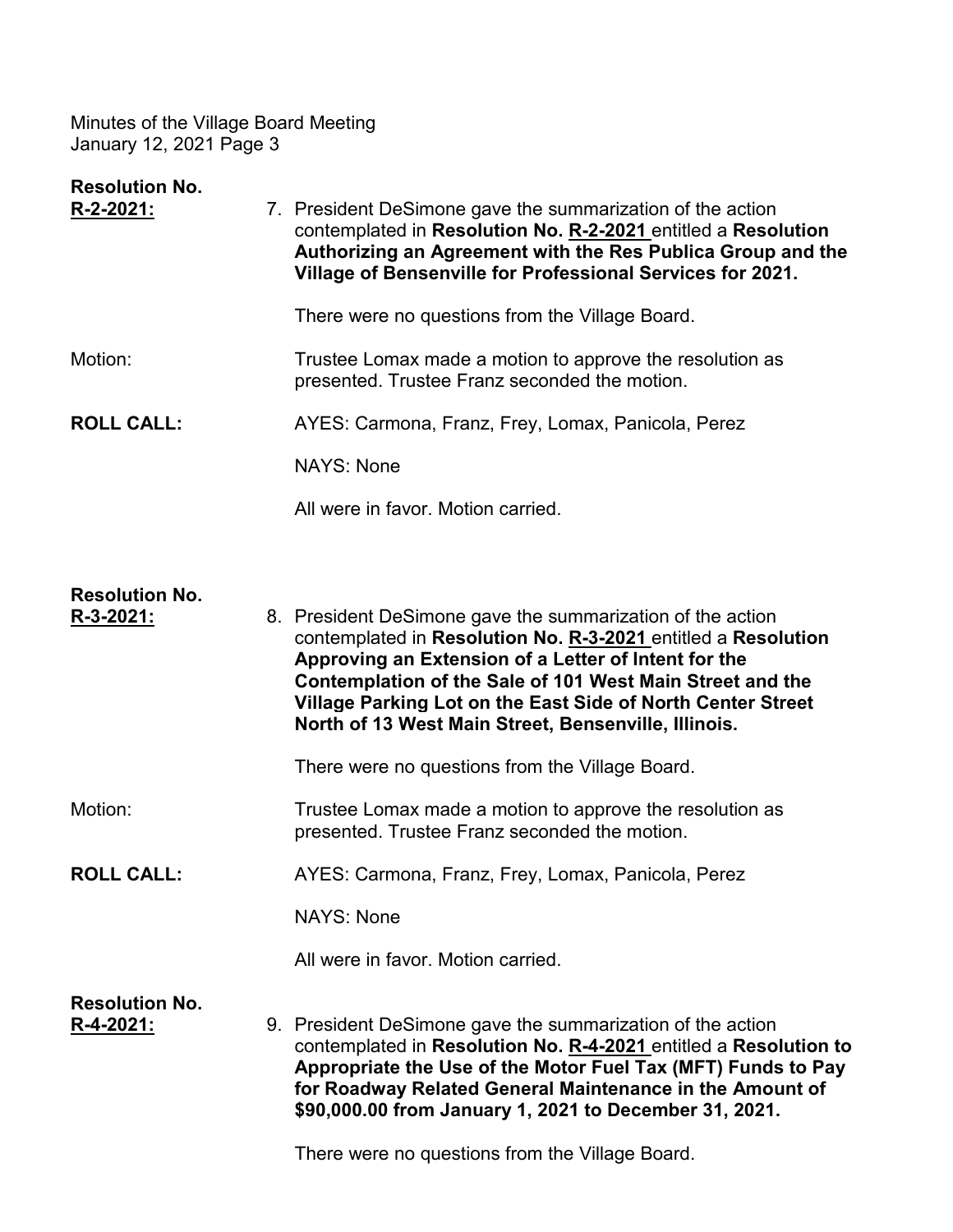| <b>Resolution No.</b><br>R-2-2021: | 7. President DeSimone gave the summarization of the action<br>contemplated in Resolution No. R-2-2021 entitled a Resolution<br>Authorizing an Agreement with the Res Publica Group and the<br>Village of Bensenville for Professional Services for 2021.                                                                                                                |
|------------------------------------|-------------------------------------------------------------------------------------------------------------------------------------------------------------------------------------------------------------------------------------------------------------------------------------------------------------------------------------------------------------------------|
|                                    | There were no questions from the Village Board.                                                                                                                                                                                                                                                                                                                         |
| Motion:                            | Trustee Lomax made a motion to approve the resolution as<br>presented. Trustee Franz seconded the motion.                                                                                                                                                                                                                                                               |
| <b>ROLL CALL:</b>                  | AYES: Carmona, Franz, Frey, Lomax, Panicola, Perez                                                                                                                                                                                                                                                                                                                      |
|                                    | <b>NAYS: None</b>                                                                                                                                                                                                                                                                                                                                                       |
|                                    | All were in favor. Motion carried.                                                                                                                                                                                                                                                                                                                                      |
|                                    |                                                                                                                                                                                                                                                                                                                                                                         |
| <b>Resolution No.</b><br>R-3-2021: | 8. President DeSimone gave the summarization of the action<br>contemplated in Resolution No. R-3-2021 entitled a Resolution<br>Approving an Extension of a Letter of Intent for the<br>Contemplation of the Sale of 101 West Main Street and the<br>Village Parking Lot on the East Side of North Center Street<br>North of 13 West Main Street, Bensenville, Illinois. |
|                                    | There were no questions from the Village Board.                                                                                                                                                                                                                                                                                                                         |
| Motion:                            | Trustee Lomax made a motion to approve the resolution as<br>presented. Trustee Franz seconded the motion.                                                                                                                                                                                                                                                               |
| <b>ROLL CALL:</b>                  | AYES: Carmona, Franz, Frey, Lomax, Panicola, Perez                                                                                                                                                                                                                                                                                                                      |
|                                    | <b>NAYS: None</b>                                                                                                                                                                                                                                                                                                                                                       |
|                                    | All were in favor. Motion carried.                                                                                                                                                                                                                                                                                                                                      |
| <b>Resolution No.</b><br>R-4-2021: | 9. President DeSimone gave the summarization of the action<br>contemplated in Resolution No. R-4-2021 entitled a Resolution to<br>Appropriate the Use of the Motor Fuel Tax (MFT) Funds to Pay<br>for Roadway Related General Maintenance in the Amount of<br>\$90,000.00 from January 1, 2021 to December 31, 2021.                                                    |

There were no questions from the Village Board.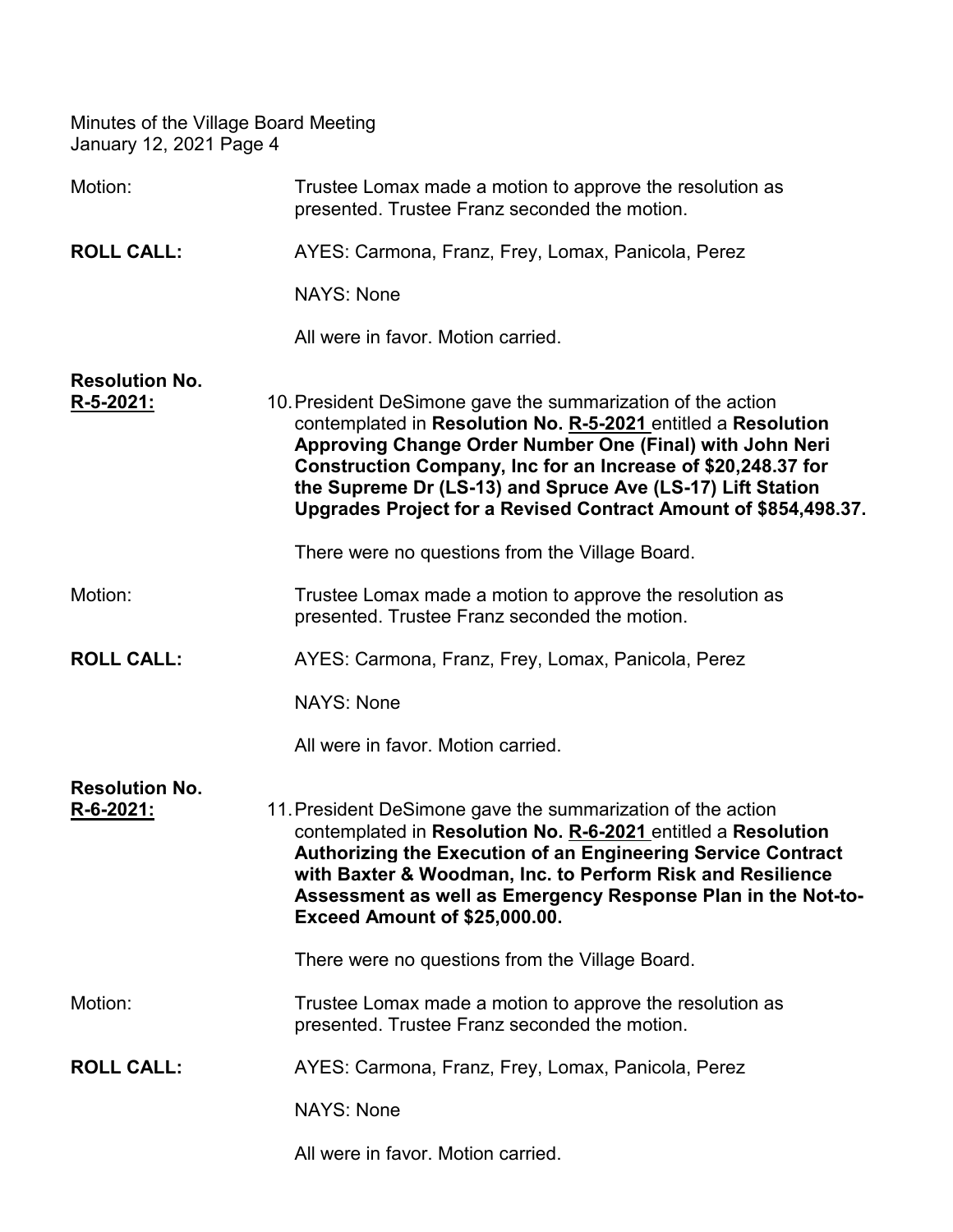| Motion:                                   | Trustee Lomax made a motion to approve the resolution as<br>presented. Trustee Franz seconded the motion.                                                                                                                                                                                                                                                                                 |
|-------------------------------------------|-------------------------------------------------------------------------------------------------------------------------------------------------------------------------------------------------------------------------------------------------------------------------------------------------------------------------------------------------------------------------------------------|
| <b>ROLL CALL:</b>                         | AYES: Carmona, Franz, Frey, Lomax, Panicola, Perez                                                                                                                                                                                                                                                                                                                                        |
|                                           | <b>NAYS: None</b>                                                                                                                                                                                                                                                                                                                                                                         |
|                                           | All were in favor. Motion carried.                                                                                                                                                                                                                                                                                                                                                        |
| <b>Resolution No.</b><br><u>R-5-2021:</u> | 10. President DeSimone gave the summarization of the action<br>contemplated in Resolution No. R-5-2021 entitled a Resolution<br>Approving Change Order Number One (Final) with John Neri<br>Construction Company, Inc for an Increase of \$20,248.37 for<br>the Supreme Dr (LS-13) and Spruce Ave (LS-17) Lift Station<br>Upgrades Project for a Revised Contract Amount of \$854,498.37. |
|                                           | There were no questions from the Village Board.                                                                                                                                                                                                                                                                                                                                           |
| Motion:                                   | Trustee Lomax made a motion to approve the resolution as<br>presented. Trustee Franz seconded the motion.                                                                                                                                                                                                                                                                                 |
| <b>ROLL CALL:</b>                         | AYES: Carmona, Franz, Frey, Lomax, Panicola, Perez                                                                                                                                                                                                                                                                                                                                        |
|                                           | <b>NAYS: None</b>                                                                                                                                                                                                                                                                                                                                                                         |
|                                           | All were in favor. Motion carried.                                                                                                                                                                                                                                                                                                                                                        |
| <b>Resolution No.</b><br>R-6-2021:        | 11. President DeSimone gave the summarization of the action<br>contemplated in Resolution No. R-6-2021 entitled a Resolution<br>Authorizing the Execution of an Engineering Service Contract<br>with Baxter & Woodman, Inc. to Perform Risk and Resilience<br>Assessment as well as Emergency Response Plan in the Not-to-<br>Exceed Amount of \$25,000.00.                               |
|                                           | There were no questions from the Village Board.                                                                                                                                                                                                                                                                                                                                           |
| Motion:                                   | Trustee Lomax made a motion to approve the resolution as<br>presented. Trustee Franz seconded the motion.                                                                                                                                                                                                                                                                                 |
| <b>ROLL CALL:</b>                         | AYES: Carmona, Franz, Frey, Lomax, Panicola, Perez                                                                                                                                                                                                                                                                                                                                        |
|                                           | <b>NAYS: None</b>                                                                                                                                                                                                                                                                                                                                                                         |
|                                           | All were in favor. Motion carried.                                                                                                                                                                                                                                                                                                                                                        |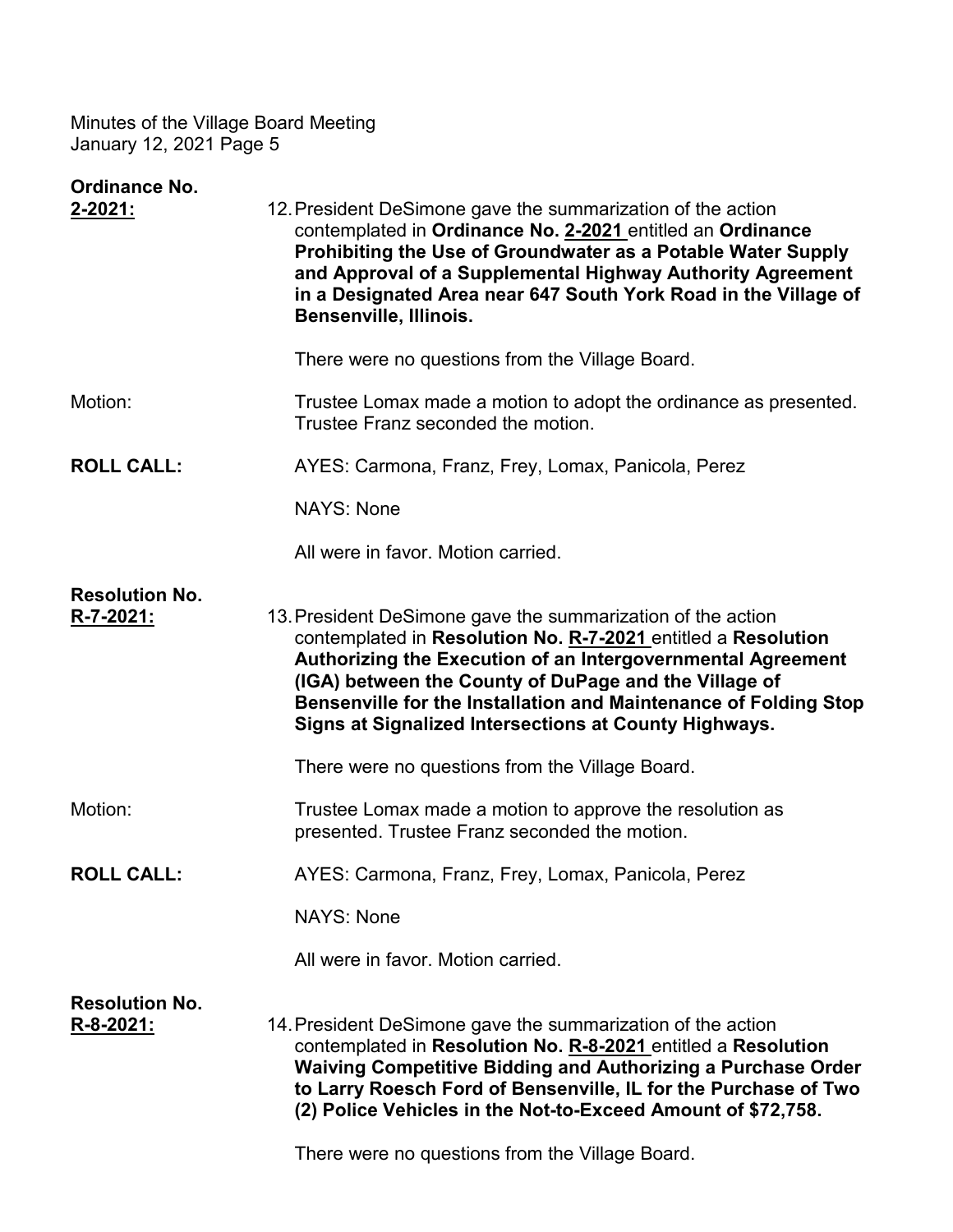| Ordinance No.<br>$2 - 2021$ :             | 12. President DeSimone gave the summarization of the action                                                                                                                                                                                                                                                                                                                       |
|-------------------------------------------|-----------------------------------------------------------------------------------------------------------------------------------------------------------------------------------------------------------------------------------------------------------------------------------------------------------------------------------------------------------------------------------|
|                                           | contemplated in Ordinance No. 2-2021 entitled an Ordinance<br>Prohibiting the Use of Groundwater as a Potable Water Supply<br>and Approval of a Supplemental Highway Authority Agreement<br>in a Designated Area near 647 South York Road in the Village of<br><b>Bensenville, Illinois.</b>                                                                                      |
|                                           | There were no questions from the Village Board.                                                                                                                                                                                                                                                                                                                                   |
| Motion:                                   | Trustee Lomax made a motion to adopt the ordinance as presented.<br>Trustee Franz seconded the motion.                                                                                                                                                                                                                                                                            |
| <b>ROLL CALL:</b>                         | AYES: Carmona, Franz, Frey, Lomax, Panicola, Perez                                                                                                                                                                                                                                                                                                                                |
|                                           | <b>NAYS: None</b>                                                                                                                                                                                                                                                                                                                                                                 |
|                                           | All were in favor. Motion carried.                                                                                                                                                                                                                                                                                                                                                |
| <b>Resolution No.</b><br>R-7-2021:        | 13. President DeSimone gave the summarization of the action<br>contemplated in Resolution No. R-7-2021 entitled a Resolution<br>Authorizing the Execution of an Intergovernmental Agreement<br>(IGA) between the County of DuPage and the Village of<br>Bensenville for the Installation and Maintenance of Folding Stop<br>Signs at Signalized Intersections at County Highways. |
|                                           | There were no questions from the Village Board.                                                                                                                                                                                                                                                                                                                                   |
| Motion:                                   | Trustee Lomax made a motion to approve the resolution as<br>presented. Trustee Franz seconded the motion.                                                                                                                                                                                                                                                                         |
| <b>ROLL CALL:</b>                         | AYES: Carmona, Franz, Frey, Lomax, Panicola, Perez                                                                                                                                                                                                                                                                                                                                |
|                                           | NAYS: None                                                                                                                                                                                                                                                                                                                                                                        |
|                                           | All were in favor. Motion carried.                                                                                                                                                                                                                                                                                                                                                |
| <b>Resolution No.</b><br><u>R-8-2021:</u> | 14. President DeSimone gave the summarization of the action<br>contemplated in Resolution No. R-8-2021 entitled a Resolution<br>Waiving Competitive Bidding and Authorizing a Purchase Order<br>to Larry Roesch Ford of Bensenville, IL for the Purchase of Two<br>(2) Police Vehicles in the Not-to-Exceed Amount of \$72,758.                                                   |
|                                           |                                                                                                                                                                                                                                                                                                                                                                                   |

There were no questions from the Village Board.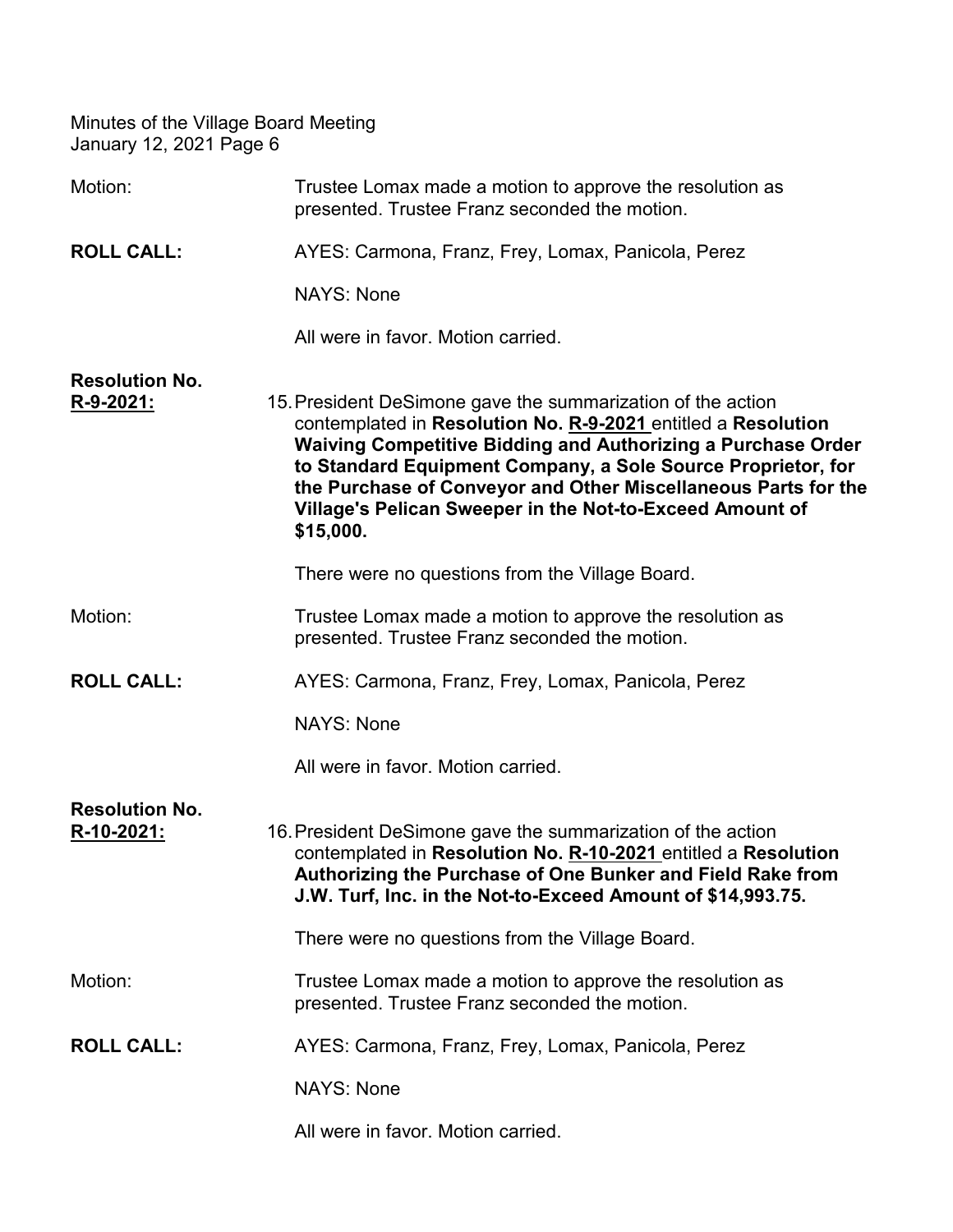| Motion:                             | Trustee Lomax made a motion to approve the resolution as<br>presented. Trustee Franz seconded the motion.                                                                                                                                                                                                                                                                                               |
|-------------------------------------|---------------------------------------------------------------------------------------------------------------------------------------------------------------------------------------------------------------------------------------------------------------------------------------------------------------------------------------------------------------------------------------------------------|
| <b>ROLL CALL:</b>                   | AYES: Carmona, Franz, Frey, Lomax, Panicola, Perez                                                                                                                                                                                                                                                                                                                                                      |
|                                     | <b>NAYS: None</b>                                                                                                                                                                                                                                                                                                                                                                                       |
|                                     | All were in favor. Motion carried.                                                                                                                                                                                                                                                                                                                                                                      |
| <b>Resolution No.</b><br>R-9-2021:  | 15. President DeSimone gave the summarization of the action<br>contemplated in Resolution No. R-9-2021 entitled a Resolution<br>Waiving Competitive Bidding and Authorizing a Purchase Order<br>to Standard Equipment Company, a Sole Source Proprietor, for<br>the Purchase of Conveyor and Other Miscellaneous Parts for the<br>Village's Pelican Sweeper in the Not-to-Exceed Amount of<br>\$15,000. |
|                                     | There were no questions from the Village Board.                                                                                                                                                                                                                                                                                                                                                         |
| Motion:                             | Trustee Lomax made a motion to approve the resolution as<br>presented. Trustee Franz seconded the motion.                                                                                                                                                                                                                                                                                               |
| <b>ROLL CALL:</b>                   | AYES: Carmona, Franz, Frey, Lomax, Panicola, Perez                                                                                                                                                                                                                                                                                                                                                      |
|                                     | <b>NAYS: None</b>                                                                                                                                                                                                                                                                                                                                                                                       |
|                                     | All were in favor. Motion carried.                                                                                                                                                                                                                                                                                                                                                                      |
| <b>Resolution No.</b><br>R-10-2021: | 16. President DeSimone gave the summarization of the action<br>contemplated in Resolution No. R-10-2021 entitled a Resolution<br>Authorizing the Purchase of One Bunker and Field Rake from<br>J.W. Turf, Inc. in the Not-to-Exceed Amount of \$14,993.75.                                                                                                                                              |
|                                     | There were no questions from the Village Board.                                                                                                                                                                                                                                                                                                                                                         |
| Motion:                             | Trustee Lomax made a motion to approve the resolution as<br>presented. Trustee Franz seconded the motion.                                                                                                                                                                                                                                                                                               |
| <b>ROLL CALL:</b>                   | AYES: Carmona, Franz, Frey, Lomax, Panicola, Perez                                                                                                                                                                                                                                                                                                                                                      |
|                                     | <b>NAYS: None</b>                                                                                                                                                                                                                                                                                                                                                                                       |
|                                     | All were in favor. Motion carried.                                                                                                                                                                                                                                                                                                                                                                      |